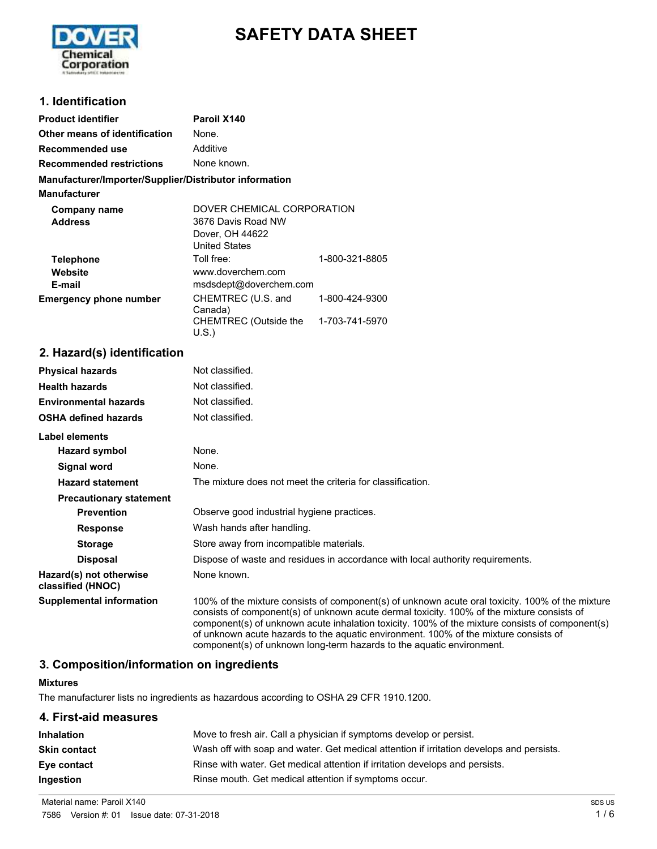

# **SAFETY DATA SHEET**

### **1. Identification**

| <b>Product identifier</b>                              | Paroil X140                                                                          |                                  |
|--------------------------------------------------------|--------------------------------------------------------------------------------------|----------------------------------|
| Other means of identification                          | None.                                                                                |                                  |
| Recommended use                                        | Additive                                                                             |                                  |
| <b>Recommended restrictions</b>                        | None known.                                                                          |                                  |
| Manufacturer/Importer/Supplier/Distributor information |                                                                                      |                                  |
| <b>Manufacturer</b>                                    |                                                                                      |                                  |
| Company name<br><b>Address</b>                         | DOVER CHEMICAL CORPORATION<br>3676 Davis Road NW<br>Dover, OH 44622<br>United States |                                  |
| <b>Telephone</b><br>Website<br>E-mail                  | Toll free:<br>www.doverchem.com<br>msdsdept@doverchem.com                            | 1-800-321-8805                   |
| <b>Emergency phone number</b>                          | CHEMTREC (U.S. and<br>Canada)<br>CHEMTREC (Outside the<br>U.S.)                      | 1-800-424-9300<br>1-703-741-5970 |

### **2. Hazard(s) identification**

| <b>Physical hazards</b>                      | Not classified.                                                                                                                                                                                                                                                                                                                                                                                                                                                    |
|----------------------------------------------|--------------------------------------------------------------------------------------------------------------------------------------------------------------------------------------------------------------------------------------------------------------------------------------------------------------------------------------------------------------------------------------------------------------------------------------------------------------------|
| <b>Health hazards</b>                        | Not classified.                                                                                                                                                                                                                                                                                                                                                                                                                                                    |
| <b>Environmental hazards</b>                 | Not classified.                                                                                                                                                                                                                                                                                                                                                                                                                                                    |
| <b>OSHA defined hazards</b>                  | Not classified.                                                                                                                                                                                                                                                                                                                                                                                                                                                    |
| <b>Label elements</b>                        |                                                                                                                                                                                                                                                                                                                                                                                                                                                                    |
| Hazard symbol                                | None.                                                                                                                                                                                                                                                                                                                                                                                                                                                              |
| Signal word                                  | None.                                                                                                                                                                                                                                                                                                                                                                                                                                                              |
| <b>Hazard statement</b>                      | The mixture does not meet the criteria for classification.                                                                                                                                                                                                                                                                                                                                                                                                         |
| <b>Precautionary statement</b>               |                                                                                                                                                                                                                                                                                                                                                                                                                                                                    |
| <b>Prevention</b>                            | Observe good industrial hygiene practices.                                                                                                                                                                                                                                                                                                                                                                                                                         |
| <b>Response</b>                              | Wash hands after handling.                                                                                                                                                                                                                                                                                                                                                                                                                                         |
| <b>Storage</b>                               | Store away from incompatible materials.                                                                                                                                                                                                                                                                                                                                                                                                                            |
| <b>Disposal</b>                              | Dispose of waste and residues in accordance with local authority requirements.                                                                                                                                                                                                                                                                                                                                                                                     |
| Hazard(s) not otherwise<br>classified (HNOC) | None known.                                                                                                                                                                                                                                                                                                                                                                                                                                                        |
| <b>Supplemental information</b>              | 100% of the mixture consists of component(s) of unknown acute oral toxicity. 100% of the mixture<br>consists of component(s) of unknown acute dermal toxicity. 100% of the mixture consists of<br>component(s) of unknown acute inhalation toxicity. 100% of the mixture consists of component(s)<br>of unknown acute hazards to the aquatic environment. 100% of the mixture consists of<br>component(s) of unknown long-term hazards to the aquatic environment. |

### **3. Composition/information on ingredients**

#### **Mixtures**

The manufacturer lists no ingredients as hazardous according to OSHA 29 CFR 1910.1200.

#### **4. First-aid measures**

| <b>Inhalation</b>   | Move to fresh air. Call a physician if symptoms develop or persist.                      |
|---------------------|------------------------------------------------------------------------------------------|
| <b>Skin contact</b> | Wash off with soap and water. Get medical attention if irritation develops and persists. |
| Eye contact         | Rinse with water. Get medical attention if irritation develops and persists.             |
| Ingestion           | Rinse mouth. Get medical attention if symptoms occur.                                    |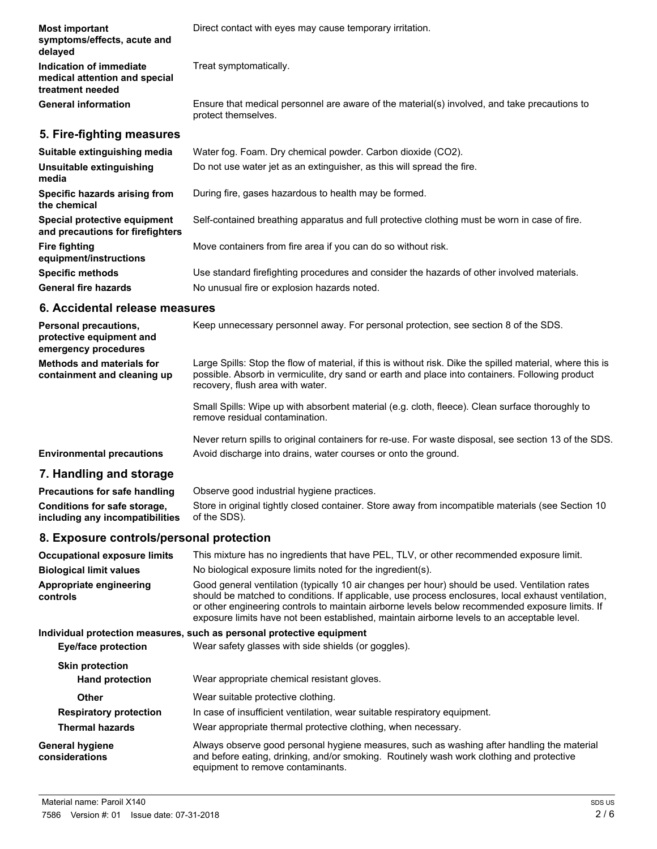| <b>Most important</b><br>symptoms/effects, acute and<br>delayed              | Direct contact with eyes may cause temporary irritation.                                                            |
|------------------------------------------------------------------------------|---------------------------------------------------------------------------------------------------------------------|
| Indication of immediate<br>medical attention and special<br>treatment needed | Treat symptomatically.                                                                                              |
| <b>General information</b>                                                   | Ensure that medical personnel are aware of the material(s) involved, and take precautions to<br>protect themselves. |
| 5. Fire-fighting measures                                                    |                                                                                                                     |
| Suitable extinguishing media                                                 | Water fog. Foam. Dry chemical powder. Carbon dioxide (CO2).                                                         |
| Unsuitable extinguishing<br>media                                            | Do not use water jet as an extinguisher, as this will spread the fire.                                              |
| Specific hazards arising from<br>the chemical                                | During fire, gases hazardous to health may be formed.                                                               |
| Special protective equipment<br>and precautions for firefighters             | Self-contained breathing apparatus and full protective clothing must be worn in case of fire.                       |
| <b>Fire fighting</b><br>equipment/instructions                               | Move containers from fire area if you can do so without risk.                                                       |
| <b>Specific methods</b>                                                      | Use standard firefighting procedures and consider the hazards of other involved materials.                          |
| <b>General fire hazards</b>                                                  | No unusual fire or explosion hazards noted.                                                                         |
| 6. Accidental release measures                                               |                                                                                                                     |

| <b>Personal precautions.</b><br>protective equipment and<br>emergency procedures | Keep unnecessary personnel away. For personal protection, see section 8 of the SDS.                                                                                                                                                               |
|----------------------------------------------------------------------------------|---------------------------------------------------------------------------------------------------------------------------------------------------------------------------------------------------------------------------------------------------|
| <b>Methods and materials for</b><br>containment and cleaning up                  | Large Spills: Stop the flow of material, if this is without risk. Dike the spilled material, where this is<br>possible. Absorb in vermiculite, dry sand or earth and place into containers. Following product<br>recovery, flush area with water. |
|                                                                                  | Small Spills: Wipe up with absorbent material (e.g. cloth, fleece). Clean surface thoroughly to<br>remove residual contamination.                                                                                                                 |

Never return spills to original containers for re-use. For waste disposal, see section 13 of the SDS. **Environmental precautions** Avoid discharge into drains, water courses or onto the ground.

### **7. Handling and storage**

| Precautions for safe handling   | Observe good industrial hygiene practices.                                                         |
|---------------------------------|----------------------------------------------------------------------------------------------------|
| Conditions for safe storage,    | Store in original tightly closed container. Store away from incompatible materials (see Section 10 |
| including any incompatibilities | of the SDS).                                                                                       |

### **8. Exposure controls/personal protection**

| <b>Occupational exposure limits</b>      | This mixture has no ingredients that have PEL, TLV, or other recommended exposure limit.                                                                                                                                                                                                                                                                                                               |  |  |
|------------------------------------------|--------------------------------------------------------------------------------------------------------------------------------------------------------------------------------------------------------------------------------------------------------------------------------------------------------------------------------------------------------------------------------------------------------|--|--|
| <b>Biological limit values</b>           | No biological exposure limits noted for the ingredient(s).                                                                                                                                                                                                                                                                                                                                             |  |  |
| Appropriate engineering<br>controls      | Good general ventilation (typically 10 air changes per hour) should be used. Ventilation rates<br>should be matched to conditions. If applicable, use process enclosures, local exhaust ventilation,<br>or other engineering controls to maintain airborne levels below recommended exposure limits. If<br>exposure limits have not been established, maintain airborne levels to an acceptable level. |  |  |
|                                          | Individual protection measures, such as personal protective equipment                                                                                                                                                                                                                                                                                                                                  |  |  |
| Eye/face protection                      | Wear safety glasses with side shields (or goggles).                                                                                                                                                                                                                                                                                                                                                    |  |  |
| <b>Skin protection</b>                   |                                                                                                                                                                                                                                                                                                                                                                                                        |  |  |
| <b>Hand protection</b>                   | Wear appropriate chemical resistant gloves.                                                                                                                                                                                                                                                                                                                                                            |  |  |
| Other                                    | Wear suitable protective clothing.                                                                                                                                                                                                                                                                                                                                                                     |  |  |
| <b>Respiratory protection</b>            | In case of insufficient ventilation, wear suitable respiratory equipment.                                                                                                                                                                                                                                                                                                                              |  |  |
| <b>Thermal hazards</b>                   | Wear appropriate thermal protective clothing, when necessary.                                                                                                                                                                                                                                                                                                                                          |  |  |
| <b>General hygiene</b><br>considerations | Always observe good personal hygiene measures, such as washing after handling the material<br>and before eating, drinking, and/or smoking. Routinely wash work clothing and protective<br>equipment to remove contaminants.                                                                                                                                                                            |  |  |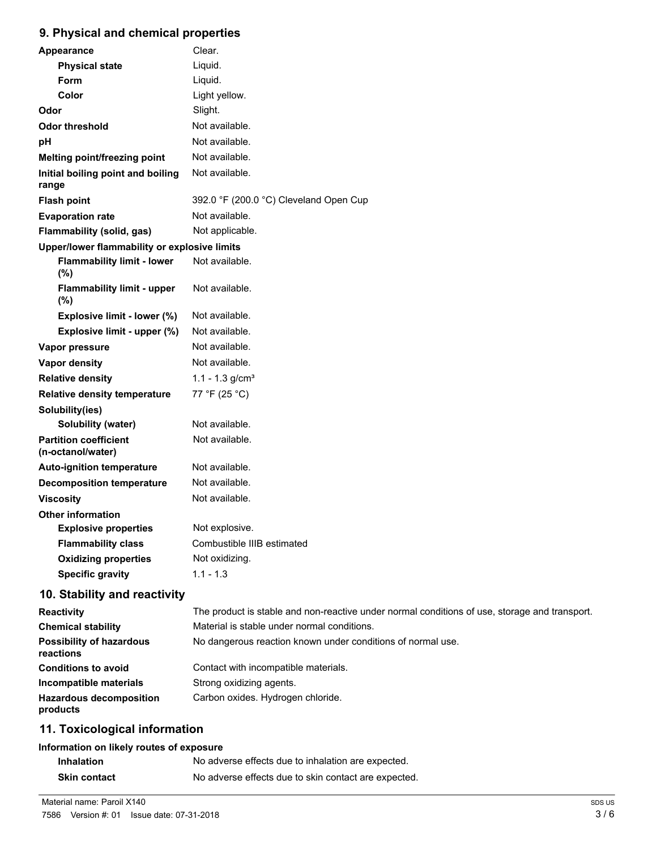# **9. Physical and chemical properties**

| Appearance                                        | Clear.                                 |
|---------------------------------------------------|----------------------------------------|
| <b>Physical state</b>                             | Liquid.                                |
| Form                                              | Liquid.                                |
| Color                                             | Light yellow.                          |
| Odor                                              | Slight.                                |
| <b>Odor threshold</b>                             | Not available.                         |
| рH                                                | Not available.                         |
| Melting point/freezing point                      | Not available.                         |
| Initial boiling point and boiling<br>range        | Not available.                         |
| <b>Flash point</b>                                | 392.0 °F (200.0 °C) Cleveland Open Cup |
| <b>Evaporation rate</b>                           | Not available.                         |
| <b>Flammability (solid, gas)</b>                  | Not applicable.                        |
| Upper/lower flammability or explosive limits      |                                        |
| <b>Flammability limit - lower</b><br>$(\%)$       | Not available.                         |
| <b>Flammability limit - upper</b><br>(%)          | Not available.                         |
| Explosive limit - lower (%)                       | Not available.                         |
| Explosive limit - upper (%)                       | Not available.                         |
| Vapor pressure                                    | Not available.                         |
| <b>Vapor density</b>                              | Not available.                         |
| <b>Relative density</b>                           | 1.1 - 1.3 $g/cm3$                      |
| <b>Relative density temperature</b>               | 77 °F (25 °C)                          |
| Solubility(ies)                                   |                                        |
| Solubility (water)                                | Not available.                         |
| <b>Partition coefficient</b><br>(n-octanol/water) | Not available.                         |
| <b>Auto-ignition temperature</b>                  | Not available.                         |
| <b>Decomposition temperature</b>                  | Not available.                         |
| Viscosity                                         | Not available.                         |
| <b>Other information</b>                          |                                        |
| <b>Explosive properties</b>                       | Not explosive.                         |
| <b>Flammability class</b>                         | Combustible IIIB estimated             |
| <b>Oxidizing properties</b>                       | Not oxidizing.                         |
| <b>Specific gravity</b>                           | $1.1 - 1.3$                            |

# **10. Stability and reactivity**

| <b>Reactivity</b>                            | The product is stable and non-reactive under normal conditions of use, storage and transport. |
|----------------------------------------------|-----------------------------------------------------------------------------------------------|
| <b>Chemical stability</b>                    | Material is stable under normal conditions.                                                   |
| <b>Possibility of hazardous</b><br>reactions | No dangerous reaction known under conditions of normal use.                                   |
| <b>Conditions to avoid</b>                   | Contact with incompatible materials.                                                          |
| Incompatible materials                       | Strong oxidizing agents.                                                                      |
| <b>Hazardous decomposition</b><br>products   | Carbon oxides. Hydrogen chloride.                                                             |

# **11. Toxicological information**

#### **Information on likely routes of exposure**

| <b>Inhalation</b>   | No adverse effects due to inhalation are expected.   |
|---------------------|------------------------------------------------------|
| <b>Skin contact</b> | No adverse effects due to skin contact are expected. |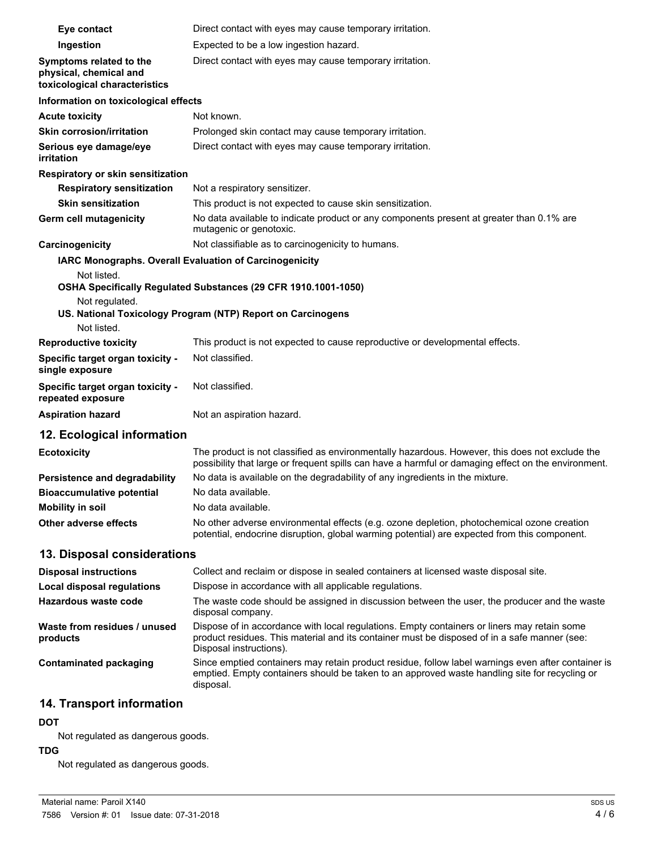| Eye contact                                                                        | Direct contact with eyes may cause temporary irritation.                                                                                                                                                               |
|------------------------------------------------------------------------------------|------------------------------------------------------------------------------------------------------------------------------------------------------------------------------------------------------------------------|
| Ingestion                                                                          | Expected to be a low ingestion hazard.                                                                                                                                                                                 |
| Symptoms related to the<br>physical, chemical and<br>toxicological characteristics | Direct contact with eyes may cause temporary irritation.                                                                                                                                                               |
| Information on toxicological effects                                               |                                                                                                                                                                                                                        |
| <b>Acute toxicity</b>                                                              | Not known.                                                                                                                                                                                                             |
| <b>Skin corrosion/irritation</b>                                                   | Prolonged skin contact may cause temporary irritation.                                                                                                                                                                 |
| Serious eye damage/eye<br><i>irritation</i>                                        | Direct contact with eyes may cause temporary irritation.                                                                                                                                                               |
| Respiratory or skin sensitization                                                  |                                                                                                                                                                                                                        |
| <b>Respiratory sensitization</b>                                                   | Not a respiratory sensitizer.                                                                                                                                                                                          |
| <b>Skin sensitization</b>                                                          | This product is not expected to cause skin sensitization.                                                                                                                                                              |
| Germ cell mutagenicity                                                             | No data available to indicate product or any components present at greater than 0.1% are<br>mutagenic or genotoxic.                                                                                                    |
| Carcinogenicity                                                                    | Not classifiable as to carcinogenicity to humans.                                                                                                                                                                      |
|                                                                                    | IARC Monographs. Overall Evaluation of Carcinogenicity                                                                                                                                                                 |
| Not listed.                                                                        | OSHA Specifically Regulated Substances (29 CFR 1910.1001-1050)                                                                                                                                                         |
| Not regulated.                                                                     | US. National Toxicology Program (NTP) Report on Carcinogens                                                                                                                                                            |
| Not listed.                                                                        |                                                                                                                                                                                                                        |
| <b>Reproductive toxicity</b>                                                       | This product is not expected to cause reproductive or developmental effects.                                                                                                                                           |
| Specific target organ toxicity -                                                   | Not classified.                                                                                                                                                                                                        |
| single exposure                                                                    |                                                                                                                                                                                                                        |
| Specific target organ toxicity -<br>repeated exposure                              | Not classified.                                                                                                                                                                                                        |
| <b>Aspiration hazard</b>                                                           | Not an aspiration hazard.                                                                                                                                                                                              |
| 12. Ecological information                                                         |                                                                                                                                                                                                                        |
| <b>Ecotoxicity</b>                                                                 | The product is not classified as environmentally hazardous. However, this does not exclude the<br>possibility that large or frequent spills can have a harmful or damaging effect on the environment.                  |
| Persistence and degradability                                                      | No data is available on the degradability of any ingredients in the mixture.                                                                                                                                           |
| <b>Bioaccumulative potential</b>                                                   | No data available.                                                                                                                                                                                                     |
| <b>Mobility in soil</b>                                                            | No data available.                                                                                                                                                                                                     |
| <b>Other adverse effects</b>                                                       | No other adverse environmental effects (e.g. ozone depletion, photochemical ozone creation<br>potential, endocrine disruption, global warming potential) are expected from this component.                             |
| 13. Disposal considerations                                                        |                                                                                                                                                                                                                        |
| <b>Disposal instructions</b>                                                       | Collect and reclaim or dispose in sealed containers at licensed waste disposal site.                                                                                                                                   |
| <b>Local disposal regulations</b>                                                  | Dispose in accordance with all applicable regulations.                                                                                                                                                                 |
| Hazardous waste code                                                               | The waste code should be assigned in discussion between the user, the producer and the waste<br>disposal company.                                                                                                      |
| Waste from residues / unused<br>products                                           | Dispose of in accordance with local regulations. Empty containers or liners may retain some<br>product residues. This material and its container must be disposed of in a safe manner (see:<br>Disposal instructions). |
| <b>Contaminated packaging</b>                                                      | Since emptied containers may retain product residue, follow label warnings even after container is<br>emptied. Empty containers should be taken to an approved waste handling site for recycling or<br>disposal.       |
| 14. Transport information                                                          |                                                                                                                                                                                                                        |

#### **DOT**

Not regulated as dangerous goods.

#### **TDG**

Not regulated as dangerous goods.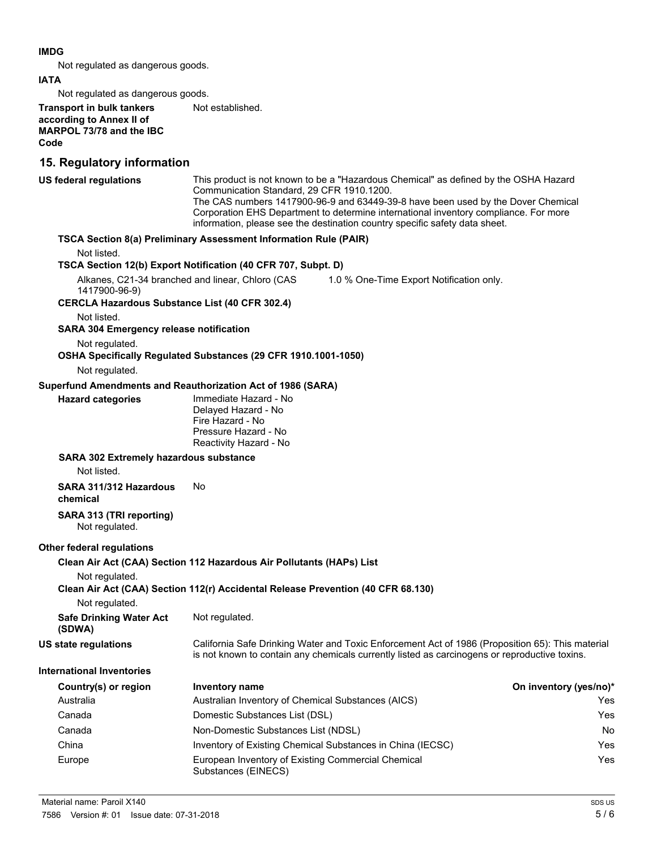#### **IMDG**

Not regulated as dangerous goods.

#### **IATA**

Not regulated as dangerous goods.

**Transport in bulk tankers** Not established. **according to Annex II of MARPOL 73/78 and the IBC Code 15. Regulatory information** This product is not known to be a "Hazardous Chemical" as defined by the OSHA Hazard Communication Standard, 29 CFR 1910.1200. The CAS numbers 1417900-96-9 and 63449-39-8 have been used by the Dover Chemical Corporation EHS Department to determine international inventory compliance. For more information, please see the destination country specific safety data sheet. **US federal regulations TSCA Section 8(a) Preliminary Assessment Information Rule (PAIR)** Not listed. **TSCA Section 12(b) Export Notification (40 CFR 707, Subpt. D)** Alkanes, C21-34 branched and linear, Chloro (CAS 1417900-96-9) 1.0 % One-Time Export Notification only. **CERCLA Hazardous Substance List (40 CFR 302.4)** Not listed. **SARA 304 Emergency release notification** Not regulated. **OSHA Specifically Regulated Substances (29 CFR 1910.1001-1050)** Not regulated. **Superfund Amendments and Reauthorization Act of 1986 (SARA)** Immediate Hazard - No Delayed Hazard - No Fire Hazard - No Pressure Hazard - No Reactivity Hazard - No **Hazard categories SARA 302 Extremely hazardous substance** Not listed. **SARA 311/312 Hazardous** No **chemical SARA 313 (TRI reporting)** Not regulated. **Other federal regulations Clean Air Act (CAA) Section 112 Hazardous Air Pollutants (HAPs) List** Not regulated. **Clean Air Act (CAA) Section 112(r) Accidental Release Prevention (40 CFR 68.130)** Not regulated. **Safe Drinking Water Act** Not regulated. **(SDWA)** California Safe Drinking Water and Toxic Enforcement Act of 1986 (Proposition 65): This material is not known to contain any chemicals currently listed as carcinogens or reproductive toxins. **US state regulations International Inventories Country(s) or region Inventory name On inventory (yes/no)\*** Australia Australian Inventory of Chemical Substances (AICS) Yes Canada Domestic Substances List (DSL) Yes Canada Non-Domestic Substances List (NDSL) No China Inventory of Existing Chemical Substances in China (IECSC) Yes Europe **European Inventory of Existing Commercial Chemical Chemical Chemical Chemical Chemical Chemical Chemical Chemical Chemical Chemical Chemical Chemical Chemical Chemical Chemical Chemical Chemical Chemical Chemical C** Substances (EINECS)